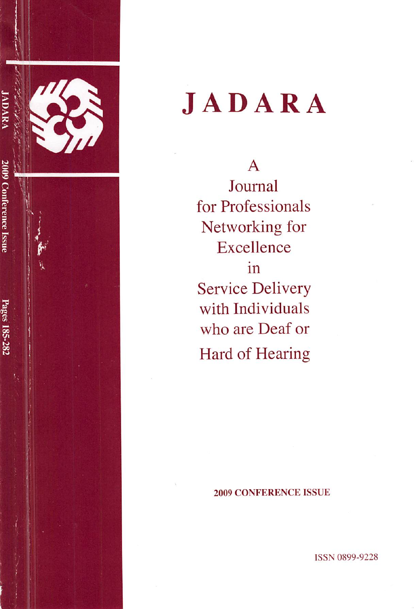

# JADARA

A Journal for Professionals Networking for **Excellence** in Service Delivery with Individuals who are Deaf or Hard of Hearing

#### 2009 CONFERENCE ISSUE

ISSN 0899-9228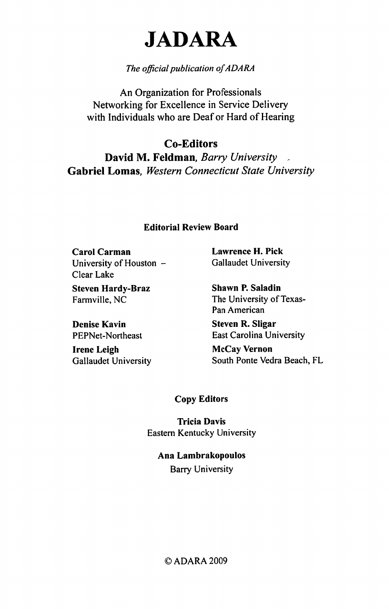# JADARA

# The official publication of ADARA

An Organization for Professionals Networking for Excellence in Service Delivery with Individuals who are Deaf or Hard of Hearing

Co-Editors David M. Feldman, Barry University Gabriel Lomas, Western Connecticut State University

### Editorial Review Board

Carol Carman Lawrence H. Pick University of Houston - Gallaudet University Clear Lake

Steven Hardy-Braz Shawn P. Saladin

Denise Kavin Steven R. Sligar

Irene Leigh McCay Vernon

Farmville, NC The University of Texas-Pan American

PEPNet-Northeast East Carolina University

Gallaudet University South Ponte Vedra Beach, FL

## Copy Editors

Tricia Davis Eastern Kentucky University

Ana Lambrakopoulos Barry University

#### ©ADARA2009